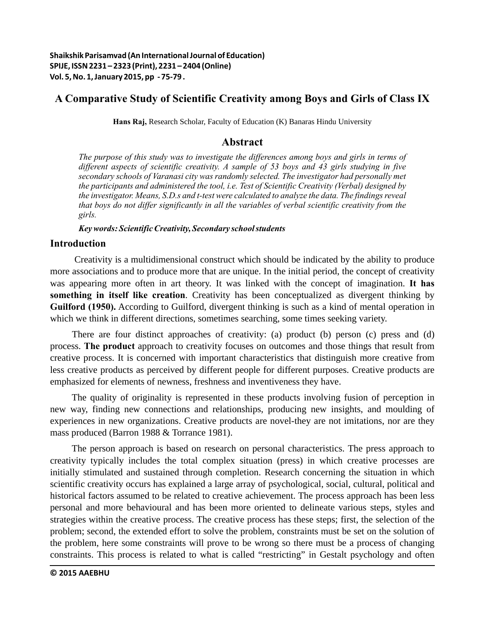# **A Comparative Study of Scientific Creativity among Boys and Girls of Class IX**

**Hans Raj,** Research Scholar, Faculty of Education (K) Banaras Hindu University

# **Abstract**

*The purpose of this study was to investigate the differences among boys and girls in terms of different aspects of scientific creativity. A sample of 53 boys and 43 girls studying in five secondary schools of Varanasi city was randomly selected. The investigator had personally met the participants and administered the tool, i.e. Test of Scientific Creativity (Verbal) designed by the investigator. Means, S.D.s and t-test were calculated to analyze the data. The findings reveal that boys do not differ significantly in all the variables of verbal scientific creativity from the girls.*

*Key words: Scientific Creativity, Secondary school students*

# **Introduction**

 Creativity is a multidimensional construct which should be indicated by the ability to produce more associations and to produce more that are unique. In the initial period, the concept of creativity was appearing more often in art theory. It was linked with the concept of imagination. **It has something in itself like creation**. Creativity has been conceptualized as divergent thinking by **Guilford (1950).** According to Guilford, divergent thinking is such as a kind of mental operation in which we think in different directions, sometimes searching, some times seeking variety.

There are four distinct approaches of creativity: (a) product (b) person (c) press and (d) process. **The product** approach to creativity focuses on outcomes and those things that result from creative process. It is concerned with important characteristics that distinguish more creative from less creative products as perceived by different people for different purposes. Creative products are emphasized for elements of newness, freshness and inventiveness they have.

The quality of originality is represented in these products involving fusion of perception in new way, finding new connections and relationships, producing new insights, and moulding of experiences in new organizations. Creative products are novel-they are not imitations, nor are they mass produced (Barron 1988 & Torrance 1981).

The person approach is based on research on personal characteristics. The press approach to creativity typically includes the total complex situation (press) in which creative processes are initially stimulated and sustained through completion. Research concerning the situation in which scientific creativity occurs has explained a large array of psychological, social, cultural, political and historical factors assumed to be related to creative achievement. The process approach has been less personal and more behavioural and has been more oriented to delineate various steps, styles and strategies within the creative process. The creative process has these steps; first, the selection of the problem; second, the extended effort to solve the problem, constraints must be set on the solution of the problem, here some constraints will prove to be wrong so there must be a process of changing constraints. This process is related to what is called "restricting" in Gestalt psychology and often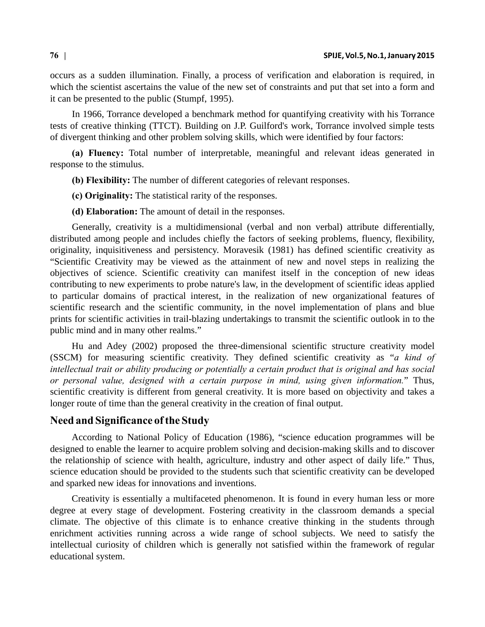occurs as a sudden illumination. Finally, a process of verification and elaboration is required, in which the scientist ascertains the value of the new set of constraints and put that set into a form and it can be presented to the public (Stumpf, 1995).

In 1966, Torrance developed a benchmark method for quantifying creativity with his Torrance tests of creative thinking (TTCT). Building on J.P. Guilford's work, Torrance involved simple tests of divergent thinking and other problem solving skills, which were identified by four factors:

**(a) Fluency:** Total number of interpretable, meaningful and relevant ideas generated in response to the stimulus.

**(b) Flexibility:** The number of different categories of relevant responses.

**(c) Originality:** The statistical rarity of the responses.

**(d) Elaboration:** The amount of detail in the responses.

Generally, creativity is a multidimensional (verbal and non verbal) attribute differentially, distributed among people and includes chiefly the factors of seeking problems, fluency, flexibility, originality, inquisitiveness and persistency. Moravesik (1981) has defined scientific creativity as "Scientific Creativity may be viewed as the attainment of new and novel steps in realizing the objectives of science. Scientific creativity can manifest itself in the conception of new ideas contributing to new experiments to probe nature's law, in the development of scientific ideas applied to particular domains of practical interest, in the realization of new organizational features of scientific research and the scientific community, in the novel implementation of plans and blue prints for scientific activities in trail-blazing undertakings to transmit the scientific outlook in to the public mind and in many other realms."

Hu and Adey (2002) proposed the three-dimensional scientific structure creativity model (SSCM) for measuring scientific creativity. They defined scientific creativity as "*a kind of intellectual trait or ability producing or potentially a certain product that is original and has social or personal value, designed with a certain purpose in mind, using given information.*" Thus, scientific creativity is different from general creativity. It is more based on objectivity and takes a longer route of time than the general creativity in the creation of final output.

## **Need and Significance of the Study**

According to National Policy of Education (1986), "science education programmes will be designed to enable the learner to acquire problem solving and decision-making skills and to discover the relationship of science with health, agriculture, industry and other aspect of daily life." Thus, science education should be provided to the students such that scientific creativity can be developed and sparked new ideas for innovations and inventions.

Creativity is essentially a multifaceted phenomenon. It is found in every human less or more degree at every stage of development. Fostering creativity in the classroom demands a special climate. The objective of this climate is to enhance creative thinking in the students through enrichment activities running across a wide range of school subjects. We need to satisfy the intellectual curiosity of children which is generally not satisfied within the framework of regular educational system.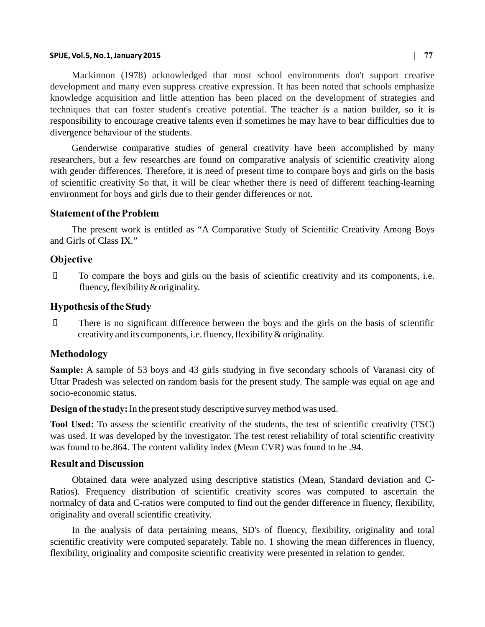#### **SPIJE, Vol.5, No.1, January 2015 | 77**

Mackinnon (1978) acknowledged that most school environments don't support creative development and many even suppress creative expression. It has been noted that schools emphasize knowledge acquisition and little attention has been placed on the development of strategies and techniques that can foster student's creative potential. The teacher is a nation builder, so it is responsibility to encourage creative talents even if sometimes he may have to bear difficulties due to divergence behaviour of the students.

Genderwise comparative studies of general creativity have been accomplished by many researchers, but a few researches are found on comparative analysis of scientific creativity along with gender differences. Therefore, it is need of present time to compare boys and girls on the basis of scientific creativity So that, it will be clear whether there is need of different teaching-learning environment for boys and girls due to their gender differences or not.

#### **Statement of the Problem**

The present work is entitled as "A Comparative Study of Scientific Creativity Among Boys and Girls of Class IX."

#### **Objective**

¾ To compare the boys and girls on the basis of scientific creativity and its components, i.e. fluency, flexibility & originality.

## **Hypothesis of the Study**

 $\Box$  There is no significant difference between the boys and the girls on the basis of scientific creativity and its components, i.e. fluency, flexibility & originality.

### **Methodology**

**Sample:** A sample of 53 boys and 43 girls studying in five secondary schools of Varanasi city of Uttar Pradesh was selected on random basis for the present study. The sample was equal on age and socio-economic status.

**Design of the study:** In the present study descriptive survey method was used.

**Tool Used:** To assess the scientific creativity of the students, the test of scientific creativity (TSC) was used. It was developed by the investigator. The test retest reliability of total scientific creativity was found to be.864. The content validity index (Mean CVR) was found to be .94.

### **Result and Discussion**

Obtained data were analyzed using descriptive statistics (Mean, Standard deviation and C-Ratios). Frequency distribution of scientific creativity scores was computed to ascertain the normalcy of data and C-ratios were computed to find out the gender difference in fluency, flexibility, originality and overall scientific creativity.

In the analysis of data pertaining means, SD's of fluency, flexibility, originality and total scientific creativity were computed separately. Table no. 1 showing the mean differences in fluency, flexibility, originality and composite scientific creativity were presented in relation to gender.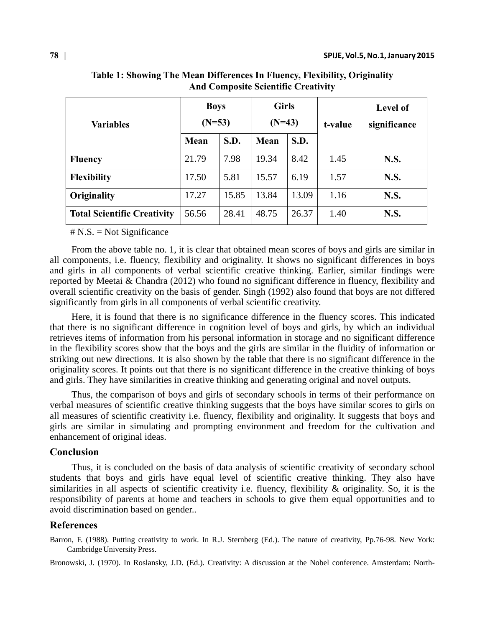| <b>Variables</b>                   | <b>Boys</b><br>$(N=53)$ |       | <b>Girls</b><br>$(N=43)$ |       | t-value | <b>Level of</b><br>significance |
|------------------------------------|-------------------------|-------|--------------------------|-------|---------|---------------------------------|
|                                    | Mean                    | S.D.  | Mean                     | S.D.  |         |                                 |
| <b>Fluency</b>                     | 21.79                   | 7.98  | 19.34                    | 8.42  | 1.45    | <b>N.S.</b>                     |
| <b>Flexibility</b>                 | 17.50                   | 5.81  | 15.57                    | 6.19  | 1.57    | <b>N.S.</b>                     |
| Originality                        | 17.27                   | 15.85 | 13.84                    | 13.09 | 1.16    | N.S.                            |
| <b>Total Scientific Creativity</b> | 56.56                   | 28.41 | 48.75                    | 26.37 | 1.40    | <b>N.S.</b>                     |

**Table 1: Showing The Mean Differences In Fluency, Flexibility, Originality And Composite Scientific Creativity**

# N.S. = Not Significance

From the above table no. 1, it is clear that obtained mean scores of boys and girls are similar in all components, i.e. fluency, flexibility and originality. It shows no significant differences in boys and girls in all components of verbal scientific creative thinking. Earlier, similar findings were reported by Meetai & Chandra (2012) who found no significant difference in fluency, flexibility and overall scientific creativity on the basis of gender. Singh (1992) also found that boys are not differed significantly from girls in all components of verbal scientific creativity.

Here, it is found that there is no significance difference in the fluency scores. This indicated that there is no significant difference in cognition level of boys and girls, by which an individual retrieves items of information from his personal information in storage and no significant difference in the flexibility scores show that the boys and the girls are similar in the fluidity of information or striking out new directions. It is also shown by the table that there is no significant difference in the originality scores. It points out that there is no significant difference in the creative thinking of boys and girls. They have similarities in creative thinking and generating original and novel outputs.

Thus, the comparison of boys and girls of secondary schools in terms of their performance on verbal measures of scientific creative thinking suggests that the boys have similar scores to girls on all measures of scientific creativity i.e. fluency, flexibility and originality. It suggests that boys and girls are similar in simulating and prompting environment and freedom for the cultivation and enhancement of original ideas.

#### **Conclusion**

Thus, it is concluded on the basis of data analysis of scientific creativity of secondary school students that boys and girls have equal level of scientific creative thinking. They also have similarities in all aspects of scientific creativity i.e. fluency, flexibility & originality. So, it is the responsibility of parents at home and teachers in schools to give them equal opportunities and to avoid discrimination based on gender..

## **References**

Barron, F. (1988). Putting creativity to work. In R.J. Sternberg (Ed.). The nature of creativity, Pp.76-98. New York: Cambridge University Press.

Bronowski, J. (1970). In Roslansky, J.D. (Ed.). Creativity: A discussion at the Nobel conference. Amsterdam: North-